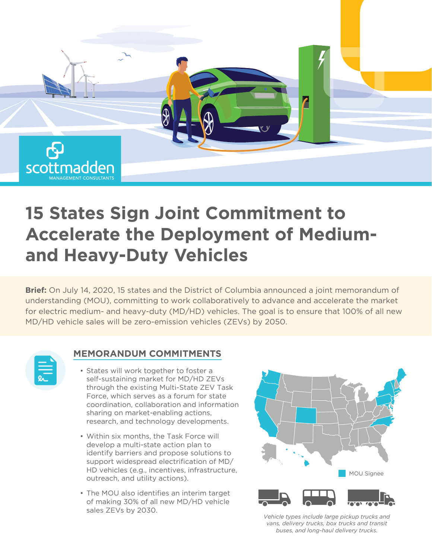

# **15 States Sign Joint Commitment to Accelerate the Deployment of Mediumand Heavy-Duty Vehicles**

**Brief:** On July 14, 2020, 15 states and the District of Columbia announced a joint memorandum of understanding (MOU), committing to work collaboratively to advance and accelerate the market for electric medium- and heavy-duty (MD/HD) vehicles. The goal is to ensure that 100% of all new MD/HD vehicle sales will be zero-emission vehicles (ZEVs) by 2050.

### **MEMORANDUM COMMITMENTS**

- States will work together to foster a self-sustaining market for MD/HD ZEVs through the existing Multi-State ZEV Task Force, which serves as a forum for state coordination, collaboration and information sharing on market-enabling actions, research, and technology developments.
- Within six months, the Task Force will develop a multi-state action plan to identify barriers and propose solutions to support widespread electrification of MD/ HD vehicles (e.g., incentives, infrastructure, outreach, and utility actions).
- The MOU also identifies an interim target of making 30% of all new MD/HD vehicle sales ZEVs by 2030.



*Vehicle types include large pickup trucks and vans, delivery trucks, box trucks and transit buses, and long-haul delivery trucks.*